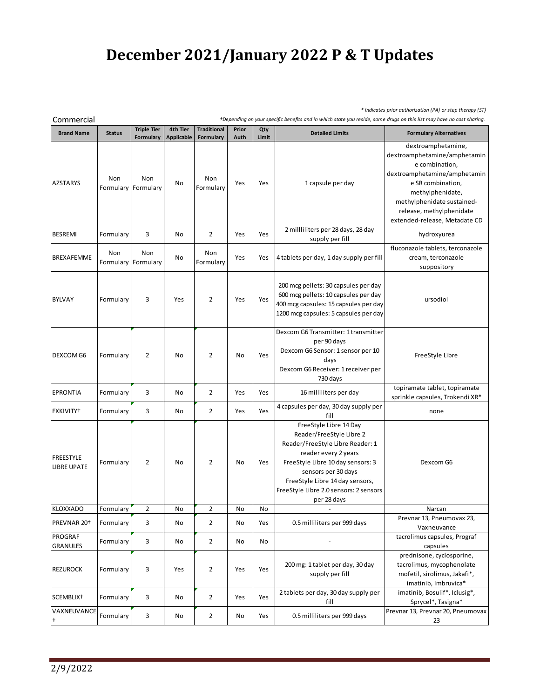## **December 2021/January 2022 P & T Updates**

*\* Indicates prior authorization (PA) or step therapy (ST)*

| Commercial<br>+Depending on your specific benefits and in which state you reside, some drugs on this list may have no cost sharing. |               |                                 |                               |                                 |               |              |                                                                                                                                                                                                                                                                        |                                                                                                                                                                                                                                          |  |
|-------------------------------------------------------------------------------------------------------------------------------------|---------------|---------------------------------|-------------------------------|---------------------------------|---------------|--------------|------------------------------------------------------------------------------------------------------------------------------------------------------------------------------------------------------------------------------------------------------------------------|------------------------------------------------------------------------------------------------------------------------------------------------------------------------------------------------------------------------------------------|--|
| <b>Brand Name</b>                                                                                                                   | <b>Status</b> | <b>Triple Tier</b><br>Formulary | 4th Tier<br><b>Applicable</b> | <b>Traditional</b><br>Formulary | Prior<br>Auth | Qty<br>Limit | <b>Detailed Limits</b>                                                                                                                                                                                                                                                 | <b>Formulary Alternatives</b>                                                                                                                                                                                                            |  |
| <b>AZSTARYS</b>                                                                                                                     | Non           | Non<br>Formulary Formulary      | No                            | Non<br>Formulary                | Yes           | Yes          | 1 capsule per day                                                                                                                                                                                                                                                      | dextroamphetamine,<br>dextroamphetamine/amphetamin<br>e combination,<br>dextroamphetamine/amphetamin<br>e SR combination,<br>methylphenidate,<br>methylphenidate sustained-<br>release, methylphenidate<br>extended-release, Metadate CD |  |
| <b>BESREMI</b>                                                                                                                      | Formulary     | 3                               | No                            | $\overline{2}$                  | Yes           | Yes          | 2 milliliters per 28 days, 28 day<br>supply per fill                                                                                                                                                                                                                   | hydroxyurea                                                                                                                                                                                                                              |  |
| <b>BREXAFEMME</b>                                                                                                                   | Non           | Non<br>Formulary Formulary      | No                            | Non<br>Formulary                | Yes           | Yes          | 4 tablets per day, 1 day supply per fill                                                                                                                                                                                                                               | fluconazole tablets, terconazole<br>cream, terconazole<br>suppository                                                                                                                                                                    |  |
| <b>BYLVAY</b>                                                                                                                       | Formulary     | 3                               | Yes                           | $\overline{2}$                  | Yes           | Yes          | 200 mcg pellets: 30 capsules per day<br>600 mcg pellets: 10 capsules per day<br>400 mcg capsules: 15 capsules per day<br>1200 mcg capsules: 5 capsules per day                                                                                                         | ursodiol                                                                                                                                                                                                                                 |  |
| DEXCOM G6                                                                                                                           | Formulary     | $\overline{2}$                  | No                            | $\overline{2}$                  | No            | Yes          | Dexcom G6 Transmitter: 1 transmitter<br>per 90 days<br>Dexcom G6 Sensor: 1 sensor per 10<br>days<br>Dexcom G6 Receiver: 1 receiver per<br>730 days                                                                                                                     | FreeStyle Libre                                                                                                                                                                                                                          |  |
| <b>EPRONTIA</b>                                                                                                                     | Formulary     | 3                               | No                            | 2                               | Yes           | Yes          | 16 milliliters per day                                                                                                                                                                                                                                                 | topiramate tablet, topiramate<br>sprinkle capsules, Trokendi XR*                                                                                                                                                                         |  |
| EXKIVITY <sup>+</sup>                                                                                                               | Formulary     | 3                               | No                            | $\overline{2}$                  | Yes           | Yes          | 4 capsules per day, 30 day supply per<br>fill                                                                                                                                                                                                                          | none                                                                                                                                                                                                                                     |  |
| <b>FREESTYLE</b><br><b>LIBRE UPATE</b>                                                                                              | Formulary     | $\overline{2}$                  | No                            | $\overline{2}$                  | No            | Yes          | FreeStyle Libre 14 Day<br>Reader/FreeStyle Libre 2<br>Reader/FreeStyle Libre Reader: 1<br>reader every 2 years<br>FreeStyle Libre 10 day sensors: 3<br>sensors per 30 days<br>FreeStyle Libre 14 day sensors,<br>FreeStyle Libre 2.0 sensors: 2 sensors<br>per 28 days | Dexcom G6                                                                                                                                                                                                                                |  |
| <b>KLOXXADO</b>                                                                                                                     | Formulary     | $\overline{2}$                  | No                            | $\overline{2}$                  | No            | No           |                                                                                                                                                                                                                                                                        | Narcan                                                                                                                                                                                                                                   |  |
| PREVNAR 20 <sup>+</sup>                                                                                                             | Formulary     | 3                               | No                            | $\mathbf{2}$                    | No            | Yes          | 0.5 milliliters per 999 days                                                                                                                                                                                                                                           | Prevnar 13, Pneumovax 23,<br>Vaxneuvance                                                                                                                                                                                                 |  |
| <b>PROGRAF</b><br><b>GRANULES</b>                                                                                                   | Formulary     | 3                               | No                            | $\overline{2}$                  | No            | No           |                                                                                                                                                                                                                                                                        | tacrolimus capsules, Prograf<br>capsules                                                                                                                                                                                                 |  |
| <b>REZUROCK</b>                                                                                                                     | Formulary     | 3                               | Yes                           | $\overline{2}$                  | Yes           | Yes          | 200 mg: 1 tablet per day, 30 day<br>supply per fill                                                                                                                                                                                                                    | prednisone, cyclosporine,<br>tacrolimus, mycophenolate<br>mofetil, sirolimus, Jakafi*,<br>imatinib, Imbruvica*                                                                                                                           |  |
| SCEMBLIX <sup>+</sup>                                                                                                               | Formulary     | 3                               | No                            | $\mathbf{2}$                    | Yes           | Yes          | 2 tablets per day, 30 day supply per<br>fill                                                                                                                                                                                                                           | imatinib, Bosulif*, Iclusig*,<br>Sprycel*, Tasigna*                                                                                                                                                                                      |  |
| VAXNEUVANCE<br>$\ddagger$                                                                                                           | Formulary     | 3                               | No                            | $\overline{2}$                  | No            | Yes          | 0.5 milliliters per 999 days                                                                                                                                                                                                                                           | Prevnar 13, Prevnar 20, Pneumovax<br>23                                                                                                                                                                                                  |  |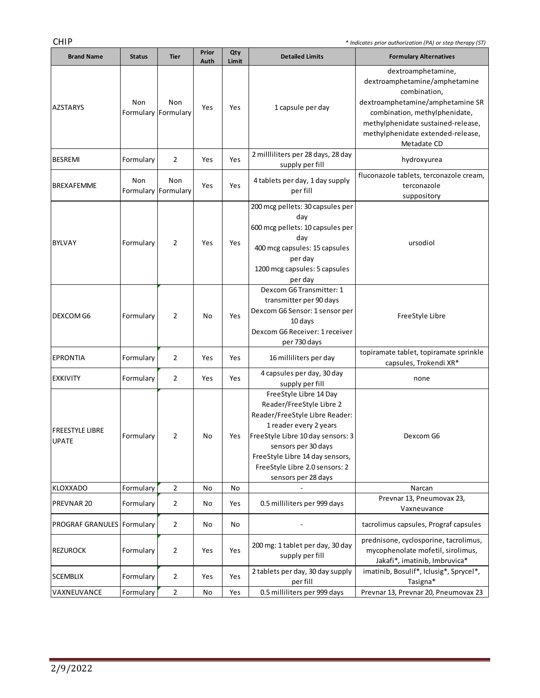**Contract Contract Contract** 

| <b>Brand Name</b>                      | <b>Status</b> | <b>Tier</b>                | Prior<br>Auth | Qty<br>Limit | <b>Detailed Limits</b>                                                                                                                                                                                                                                                 | <b>Formulary Alternatives</b>                                                                                                                                                                                                      |
|----------------------------------------|---------------|----------------------------|---------------|--------------|------------------------------------------------------------------------------------------------------------------------------------------------------------------------------------------------------------------------------------------------------------------------|------------------------------------------------------------------------------------------------------------------------------------------------------------------------------------------------------------------------------------|
| AZSTARYS                               | Non           | Non<br>Formulary Formulary | Yes           | Yes          | 1 capsule per day                                                                                                                                                                                                                                                      | dextroamphetamine,<br>dextroamphetamine/amphetamine<br>combination,<br>dextroamphetamine/amphetamine SR<br>combination, methylphenidate,<br>methylphenidate sustained-release,<br>methylphenidate extended-release,<br>Metadate CD |
| <b>BESREMI</b>                         | Formulary     | 2                          | Yes           | Yes          | 2 millliliters per 28 days, 28 day<br>supply per fill                                                                                                                                                                                                                  | hydroxyurea                                                                                                                                                                                                                        |
| <b>BREXAFEMME</b>                      | Non           | Non<br>Formulary Formulary | Yes           | Yes          | 4 tablets per day, 1 day supply<br>per fill                                                                                                                                                                                                                            | fluconazole tablets, terconazole cream,<br>terconazole<br>suppository                                                                                                                                                              |
| BYLVAY                                 | Formulary     | $\overline{2}$             | Yes           | Yes          | 200 mcg pellets: 30 capsules per<br>day<br>600 mcg pellets: 10 capsules per<br>day<br>400 mcg capsules: 15 capsules<br>per day<br>1200 mcg capsules: 5 capsules<br>per day                                                                                             | ursodiol                                                                                                                                                                                                                           |
| <b>DEXCOM G6</b>                       | Formulary     | $\overline{2}$             | No            | Yes          | Dexcom G6 Transmitter: 1<br>transmitter per 90 days<br>Dexcom G6 Sensor: 1 sensor per<br>10 days<br>Dexcom G6 Receiver: 1 receiver<br>per 730 days                                                                                                                     | FreeStyle Libre                                                                                                                                                                                                                    |
| <b>EPRONTIA</b>                        | Formulary     | $\overline{2}$             | Yes           | Yes          | 16 milliliters per day                                                                                                                                                                                                                                                 | topiramate tablet, topiramate sprinkle<br>capsules, Trokendi XR*                                                                                                                                                                   |
| <b>EXKIVITY</b>                        | Formulary     | $\overline{2}$             | Yes           | Yes          | 4 capsules per day, 30 day<br>supply per fill                                                                                                                                                                                                                          | none                                                                                                                                                                                                                               |
| <b>FREESTYLE LIBRE</b><br><b>UPATE</b> | Formulary     | 2                          | No            | Yes          | FreeStyle Libre 14 Day<br>Reader/FreeStyle Libre 2<br>Reader/FreeStyle Libre Reader:<br>1 reader every 2 years<br>FreeStyle Libre 10 day sensors: 3<br>sensors per 30 days<br>FreeStyle Libre 14 day sensors,<br>FreeStyle Libre 2.0 sensors: 2<br>sensors per 28 days | Dexcom G6                                                                                                                                                                                                                          |
| <b>KLOXXADO</b>                        | Formulary     | $\mathbf{2}$               | No            | No           |                                                                                                                                                                                                                                                                        | Narcan                                                                                                                                                                                                                             |
| PREVNAR 20                             | Formulary     | $\overline{2}$             | No            | Yes          | 0.5 milliliters per 999 days                                                                                                                                                                                                                                           | Prevnar 13, Pneumovax 23,<br>Vaxneuvance                                                                                                                                                                                           |
| <b>PROGRAF GRANULES Formulary</b>      |               | $\overline{2}$             | No            | No           |                                                                                                                                                                                                                                                                        | tacrolimus capsules, Prograf capsules                                                                                                                                                                                              |
| <b>REZUROCK</b>                        | Formulary     | $\overline{2}$             | Yes           | Yes          | 200 mg: 1 tablet per day, 30 day<br>supply per fill                                                                                                                                                                                                                    | prednisone, cyclosporine, tacrolimus,<br>mycophenolate mofetil, sirolimus,<br>Jakafi*, imatinib, Imbruvica*                                                                                                                        |
| <b>SCEMBLIX</b>                        | Formulary     | 2                          | Yes           | Yes          | 2 tablets per day, 30 day supply<br>per fill                                                                                                                                                                                                                           | imatinib, Bosulif*, Iclusig*, Sprycel*,<br>Tasigna*                                                                                                                                                                                |
| VAXNEUVANCE                            | Formulary     | $\overline{2}$             | No            | Yes          | 0.5 milliliters per 999 days                                                                                                                                                                                                                                           | Prevnar 13, Prevnar 20, Pneumovax 23                                                                                                                                                                                               |
|                                        |               |                            |               |              |                                                                                                                                                                                                                                                                        |                                                                                                                                                                                                                                    |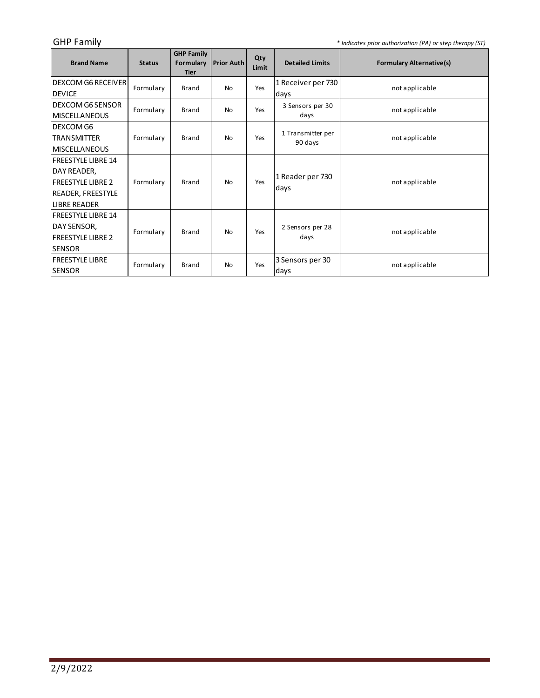GHP Family *\* Indicates prior authorization (PA) or step therapy (ST)*

<u> 1989 - Johann Barnett, fransk politiker (</u>

| <b>Brand Name</b>         | <b>Status</b> | <b>GHP Family</b><br>Formulary<br><b>Tier</b> | <b>Prior Auth</b> | Qty<br>Limit | <b>Detailed Limits</b>       | <b>Formulary Alternative(s)</b> |
|---------------------------|---------------|-----------------------------------------------|-------------------|--------------|------------------------------|---------------------------------|
| <b>DEXCOM G6 RECEIVER</b> | Formulary     | <b>Brand</b>                                  | <b>No</b>         | Yes          | 1 Receiver per 730           | not applicable                  |
| DEVICE                    |               |                                               |                   |              | days                         |                                 |
| IDEXCOM G6 SENSOR         | Formulary     | Brand                                         | <b>No</b>         | Yes          | 3 Sensors per 30             | not applicable                  |
| <b>MISCELLANEOUS</b>      |               |                                               |                   |              | days                         |                                 |
| DEXCOM G6                 |               |                                               |                   |              |                              |                                 |
| <b>TRANSMITTER</b>        | Formulary     | <b>Brand</b>                                  | <b>No</b>         | Yes          | 1 Transmitter per<br>90 days | not applicable                  |
| <b>MISCELLANEOUS</b>      |               |                                               |                   |              |                              |                                 |
| lfreestyle libre 14       |               |                                               |                   |              |                              |                                 |
| DAY READER,               |               |                                               |                   |              | 1 Reader per 730             |                                 |
| lfreestyle libre 2        | Formulary     | <b>Brand</b>                                  | <b>No</b>         | Yes          |                              | not applicable                  |
| READER, FREESTYLE         |               |                                               |                   |              | days                         |                                 |
| <b>LIBRE READER</b>       |               |                                               |                   |              |                              |                                 |
| lfreestyle libre 14       |               |                                               |                   |              |                              |                                 |
| DAY SENSOR,               | Formulary     | <b>Brand</b>                                  | <b>No</b>         | Yes          | 2 Sensors per 28             | not applicable                  |
| <b>FREESTYLE LIBRE 2</b>  |               |                                               |                   |              | days                         |                                 |
| <b>SENSOR</b>             |               |                                               |                   |              |                              |                                 |
| FREESTYLE LIBRE           | Formulary     | <b>Brand</b>                                  | <b>No</b>         | Yes          | 3 Sensors per 30             | not applicable                  |
| <b>SENSOR</b>             |               |                                               |                   |              | days                         |                                 |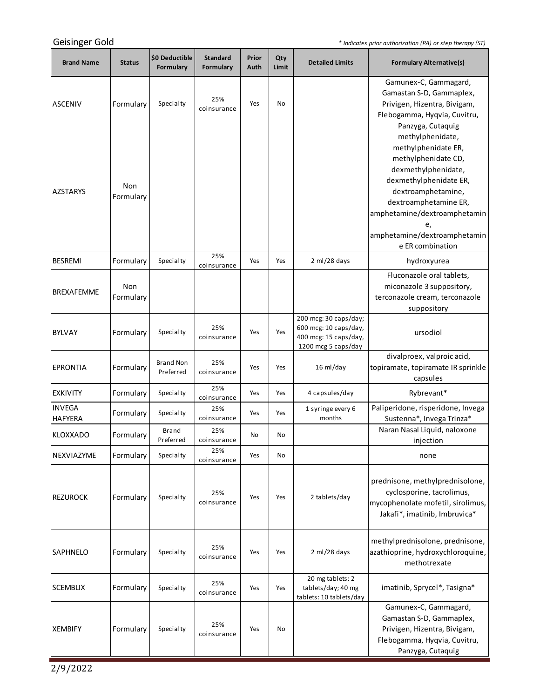*\* Indicates prior authorization (PA) or step therapy (ST)*

| <b>Brand Name</b>               | <b>Status</b>    | \$0 Deductible<br>Formulary   | <b>Standard</b><br>Formulary | Prior<br>Auth | Qty<br>Limit | <b>Detailed Limits</b>                                                                         | <b>Formulary Alternative(s)</b>                                                                                                                                                                                                                          |
|---------------------------------|------------------|-------------------------------|------------------------------|---------------|--------------|------------------------------------------------------------------------------------------------|----------------------------------------------------------------------------------------------------------------------------------------------------------------------------------------------------------------------------------------------------------|
| <b>ASCENIV</b>                  | Formulary        | Specialty                     | 25%<br>coinsurance           | Yes           | No           |                                                                                                | Gamunex-C, Gammagard,<br>Gamastan S-D, Gammaplex,<br>Privigen, Hizentra, Bivigam,<br>Flebogamma, Hyqvia, Cuvitru,<br>Panzyga, Cutaquig                                                                                                                   |
| <b>AZSTARYS</b>                 | Non<br>Formulary |                               |                              |               |              |                                                                                                | methylphenidate,<br>methylphenidate ER,<br>methylphenidate CD,<br>dexmethylphenidate,<br>dexmethylphenidate ER,<br>dextroamphetamine,<br>dextroamphetamine ER,<br>amphetamine/dextroamphetamin<br>e,<br>amphetamine/dextroamphetamin<br>e ER combination |
| <b>BESREMI</b>                  | Formulary        | Specialty                     | 25%<br>coinsurance           | Yes           | Yes          | 2 ml/28 days                                                                                   | hydroxyurea                                                                                                                                                                                                                                              |
| <b>BREXAFEMME</b>               | Non<br>Formulary |                               |                              |               |              |                                                                                                | Fluconazole oral tablets,<br>miconazole 3 suppository,<br>terconazole cream, terconazole<br>suppository                                                                                                                                                  |
| <b>BYLVAY</b>                   | Formulary        | Specialty                     | 25%<br>coinsurance           | Yes           | Yes          | 200 mcg: 30 caps/day;<br>600 mcg: 10 caps/day,<br>400 mcg: 15 caps/day,<br>1200 mcg 5 caps/day | ursodiol                                                                                                                                                                                                                                                 |
| <b>EPRONTIA</b>                 | Formulary        | <b>Brand Non</b><br>Preferred | 25%<br>coinsurance           | Yes           | Yes          | 16 ml/day                                                                                      | divalproex, valproic acid,<br>topiramate, topiramate IR sprinkle<br>capsules                                                                                                                                                                             |
| <b>EXKIVITY</b>                 | Formulary        | Specialty                     | 25%<br>coinsurance           | Yes           | Yes          | 4 capsules/day                                                                                 | Rybrevant*                                                                                                                                                                                                                                               |
| <b>INVEGA</b><br><b>HAFYERA</b> | Formulary        | Specialty                     | 25%<br>coinsurance           | Yes           | Yes          | 1 syringe every 6<br>months                                                                    | Paliperidone, risperidone, Invega<br>Sustenna*, Invega Trinza*                                                                                                                                                                                           |
| KLOXXADO                        | Formulary        | Brand<br>Preferred            | 25%<br>coinsurance           | No            | No           |                                                                                                | Naran Nasal Liquid, naloxone<br>injection                                                                                                                                                                                                                |
| NEXVIAZYME                      | Formulary        | Specialty                     | 25%<br>coinsurance           | Yes           | No           |                                                                                                | none                                                                                                                                                                                                                                                     |
| <b>REZUROCK</b>                 | Formulary        | Specialty                     | 25%<br>coinsurance           | Yes           | Yes          | 2 tablets/day                                                                                  | prednisone, methylprednisolone,<br>cyclosporine, tacrolimus,<br>mycophenolate mofetil, sirolimus,<br>Jakafi*, imatinib, Imbruvica*                                                                                                                       |
| <b>SAPHNELO</b>                 | Formulary        | Specialty                     | 25%<br>coinsurance           | Yes           | Yes          | 2 ml/28 days                                                                                   | methylprednisolone, prednisone,<br>azathioprine, hydroxychloroquine,<br>methotrexate                                                                                                                                                                     |
| <b>SCEMBLIX</b>                 | Formulary        | Specialty                     | 25%<br>coinsurance           | Yes           | Yes          | 20 mg tablets: 2<br>tablets/day; 40 mg<br>tablets: 10 tablets/day                              | imatinib, Sprycel*, Tasigna*                                                                                                                                                                                                                             |
| <b>XEMBIFY</b>                  | Formulary        | Specialty                     | 25%<br>coinsurance           | Yes           | No           |                                                                                                | Gamunex-C, Gammagard,<br>Gamastan S-D, Gammaplex,<br>Privigen, Hizentra, Bivigam,<br>Flebogamma, Hyqvia, Cuvitru,<br>Panzyga, Cutaquig                                                                                                                   |